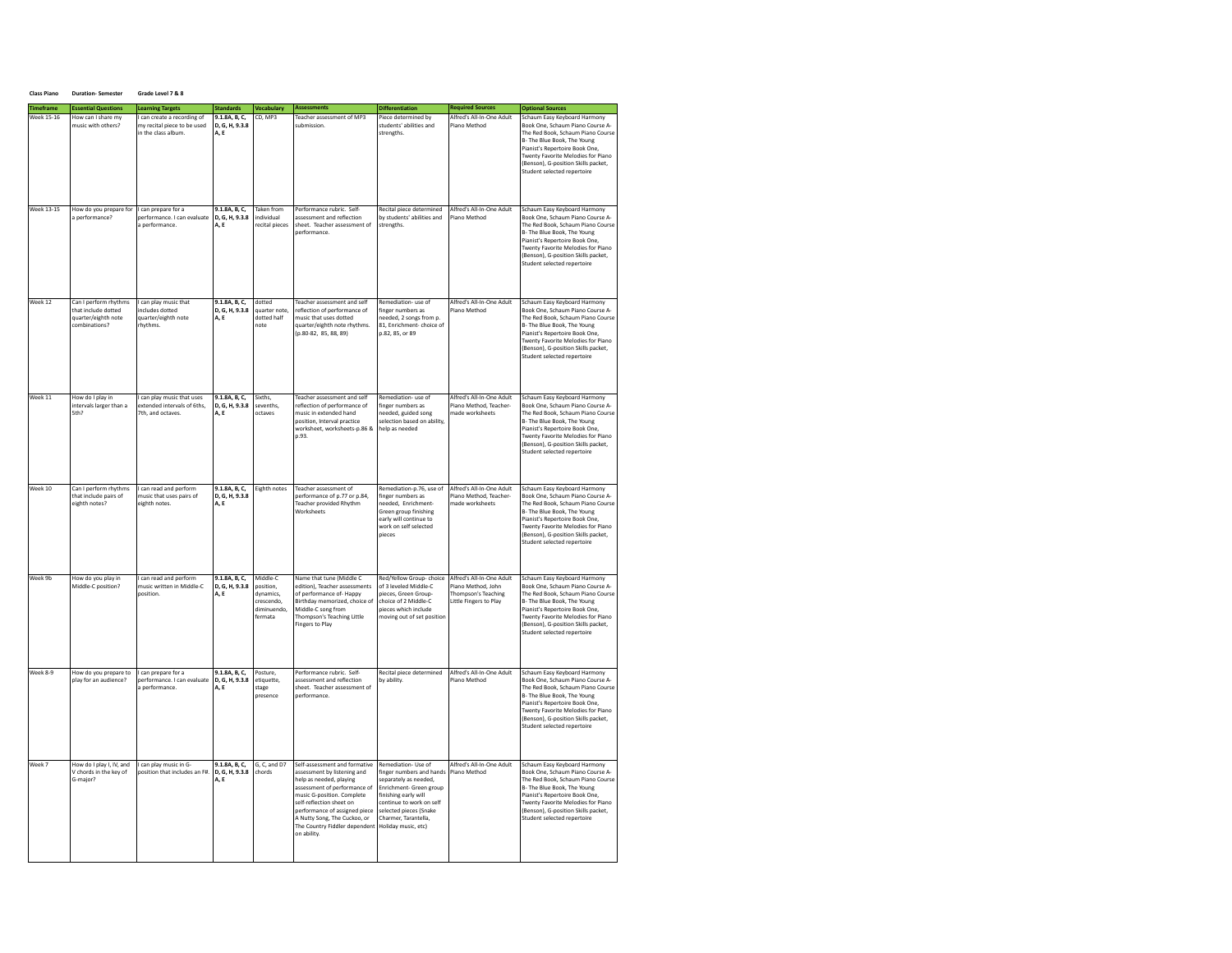| <b>Class Piano</b> | <b>Duration-Semester</b> | Grade Level 7 & 8 |
|--------------------|--------------------------|-------------------|

| <b>Timeframe</b>  | <b>Essential Questions</b>                                                           | <b>Learning Targets</b>                                                           | <b>Standards</b>                        | Vocabulary                                                                 | <b>Assessments</b>                                                                                                                                                                                                                                                                                 | <b>Differentiation</b>                                                                                                                                                                                                           | <b>Required Sources</b>                                                                          | <b>Optional Sources</b>                                                                                                                                                                                                                                                            |
|-------------------|--------------------------------------------------------------------------------------|-----------------------------------------------------------------------------------|-----------------------------------------|----------------------------------------------------------------------------|----------------------------------------------------------------------------------------------------------------------------------------------------------------------------------------------------------------------------------------------------------------------------------------------------|----------------------------------------------------------------------------------------------------------------------------------------------------------------------------------------------------------------------------------|--------------------------------------------------------------------------------------------------|------------------------------------------------------------------------------------------------------------------------------------------------------------------------------------------------------------------------------------------------------------------------------------|
| <b>Week 15-16</b> | How can I share my<br>music with others?                                             | I can create a recording of<br>my recital piece to be used<br>in the class album. | 9.1.8A. B. C.<br>D, G, H, 9.3.8<br>A.E  | CD. MP3                                                                    | Teacher assessment of MP3<br>submission.                                                                                                                                                                                                                                                           | Piece determined by<br>students' abilities and<br>strengths.                                                                                                                                                                     | Alfred's All-In-One Adult<br>Piano Method                                                        | Schaum Easy Keyboard Harmony<br>Book One, Schaum Piano Course A-<br>The Red Book, Schaum Piano Course<br>B- The Blue Book, The Young<br>Pianist's Repertoire Book One.<br>Twenty Favorite Melodies for Piano<br>(Benson), G-position Skills packet,<br>Student selected repertoire |
| <b>Week 13-15</b> | How do you prepare for I can prepare for a<br>a performance?                         | performance. I can evaluate<br>a performance.                                     | 9.1.8A, B, C.<br>D. G. H. 9.3.8<br>A.E  | Taken from<br>individual<br>recital pieces                                 | Performance rubric. Self-<br>assessment and reflection<br>sheet. Teacher assessment of<br>performance.                                                                                                                                                                                             | Recital piece determined<br>by students' abilities and<br>strengths.                                                                                                                                                             | Alfred's All-In-One Adult<br>Piano Method                                                        | Schaum Easy Keyboard Harmony<br>Book One, Schaum Piano Course A-<br>The Red Book, Schaum Piano Course<br>B- The Blue Book, The Young<br>Pianist's Repertoire Book One.<br>Twenty Favorite Melodies for Piano<br>(Benson), G-position Skills packet,<br>Student selected repertoire |
| Week 12           | Can I perform rhythms<br>that include dotted<br>quarter/eighth note<br>combinations? | I can play music that<br>includes dotted<br>quarter/eighth note<br>rhythms.       | 9.1.8A, B, C,<br>D, G, H, 9.3.8<br>A.E  | dotted<br>quarter note,<br>dotted half<br>note                             | Teacher assessment and self<br>reflection of performance of<br>nusic that uses dotted<br>quarter/eighth note rhythms.<br>(p.80-82, 85, 88, 89)                                                                                                                                                     | Remediation- use of<br>finger numbers as<br>needed, 2 songs from p.<br>81, Enrichment- choice of<br>p.82, 85, or 89                                                                                                              | Alfred's All-In-One Adult<br>Piano Method                                                        | Schaum Easy Keyboard Harmony<br>Book One, Schaum Piano Course A-<br>The Red Book, Schaum Piano Course<br>B- The Blue Book, The Young<br>Pianist's Repertoire Book One,<br>Twenty Favorite Melodies for Piano<br>(Benson), G-position Skills packet,<br>Student selected repertoire |
| Week 11           | How do I play in<br>intervals larger than a<br>5th?                                  | can play music that uses<br>extended intervals of 6ths.<br>7th, and octaves.      | 9.1.8A, B, C.<br>D. G. H. 9.3.8<br>A, E | Sixths.<br>sevenths.<br>octaves                                            | Teacher assessment and self<br>reflection of performance of<br>music in extended hand<br>position, Interval practice<br>worksheet, worksheets-p.86 &<br>p.93                                                                                                                                       | Remediation- use of<br>finger numbers as<br>needed, guided song<br>election based on ability<br>help as needed                                                                                                                   | Alfred's All-In-One Adult<br>Piano Method, Teacher-<br>made worksheets                           | Schaum Easy Keyboard Harmony<br>Book One, Schaum Piano Course A-<br>The Red Book, Schaum Piano Course<br>B- The Blue Book, The Young<br>Pianist's Repertoire Book One,<br>Twenty Favorite Melodies for Piano<br>(Benson), G-position Skills packet,<br>Student selected repertoire |
| Week 10           | Can I perform rhythms<br>that include pairs of<br>eighth notes?                      | can read and perform<br>music that uses pairs of<br>eighth notes.                 | 9.1.8A, B, C.<br>D, G, H, 9.3.8<br>A.E  | Eighth notes                                                               | Teacher assessment of<br>performance of p.77 or p.84.<br><b>Teacher provided Rhythm</b><br>Worksheets                                                                                                                                                                                              | Remediation-p.76, use of<br>finger numbers as<br>needed. Enrichment-<br>Green group finishing<br>early will continue to<br>work on self selected<br>pieces                                                                       | Alfred's All-In-One Adult<br>Piano Method, Teacher-<br>made worksheets                           | Schaum Easy Keyboard Harmony<br>Book One, Schaum Piano Course A-<br>The Red Book, Schaum Piano Course<br>B- The Blue Book, The Young<br>Pianist's Repertoire Book One.<br>Twenty Favorite Melodies for Piano<br>(Benson), G-position Skills packet,<br>Student selected repertoire |
| Week 9b           | How do you play in<br>Middle-C position?                                             | I can read and perform<br>music written in Middle-C<br>position.                  | 9.1.8A, B, C.<br>D. G. H. 9.3.8<br>A.E  | Middle-C<br>position.<br>dynamics,<br>crescendo.<br>diminuendo.<br>fermata | Name that tune (Middle C<br>edition). Teacher assessments<br>of performance of-Happy<br>Birthday memorized, choice of<br>Middle-C song from<br>Thompson's Teaching Little<br><b>Fingers to Play</b>                                                                                                | Red/Yellow Group-choice<br>of 3 leveled Middle-C<br>pieces, Green Group-<br>choice of 2 Middle-C<br>nieces which include<br>moving out of set position                                                                           | Alfred's All-In-One Adult<br>Piano Method, John<br>Thompson's Teaching<br>Little Fingers to Play | Schaum Easy Keyboard Harmony<br>Book One, Schaum Piano Course A-<br>The Red Book, Schaum Piano Course<br>B- The Blue Book, The Young<br>Pianist's Repertoire Book One.<br>Twenty Favorite Melodies for Piano<br>(Benson), G-position Skills packet,<br>Student selected repertoire |
| Week 8-9          | How do you prepare to<br>play for an audience?                                       | can prepare for a<br>performance. I can evaluate<br>a performance.                | 9.1.8A, B, C,<br>D, G, H, 9.3.8<br>A.E  | Posture,<br>etiquette,<br>stage<br>presence                                | Performance rubric. Self-<br>assessment and reflection<br>sheet. Teacher assessment of<br>performance.                                                                                                                                                                                             | Recital piece determined<br>by ability.                                                                                                                                                                                          | Alfred's All-In-One Adult<br>Piano Method                                                        | Schaum Easy Keyboard Harmony<br>Book One, Schaum Piano Course A-<br>The Red Book, Schaum Piano Course<br>B- The Blue Book, The Young<br>Pianist's Repertoire Book One,<br>Twenty Favorite Melodies for Piano<br>(Benson), G-position Skills packet,<br>Student selected repertoire |
| Week 7            | How do I play I, IV, and<br>V chords in the key of<br>G-maior?                       | can play music in G-<br>position that includes an F#.                             | 9.1.8A, B, C,<br>D, G, H, 9.3.8<br>A.E  | G, C, and D7<br>chords                                                     | Self-assessment and formative<br>assessment by listening and<br>help as needed, playing<br>assessment of performance of<br>music G-position. Complete<br>self-reflection sheet on<br>performance of assigned piece<br>A Nutty Song, The Cuckoo, or<br>The Country Fiddler dependent<br>on ability. | Remediation- Use of<br>finger numbers and hands<br>separately as needed,<br>Enrichment- Green group<br>finishing early will<br>continue to work on self<br>selected pieces (Snake<br>Charmer, Tarantella,<br>Holiday music, etc) | Alfred's All-In-One Adult<br>Piano Method                                                        | Schaum Easy Keyboard Harmony<br>Book One, Schaum Piano Course A-<br>The Red Book, Schaum Piano Course<br>B- The Blue Book, The Young<br>Pianist's Repertoire Book One,<br>Twenty Favorite Melodies for Piano<br>(Benson), G-position Skills packet,<br>Student selected repertoire |